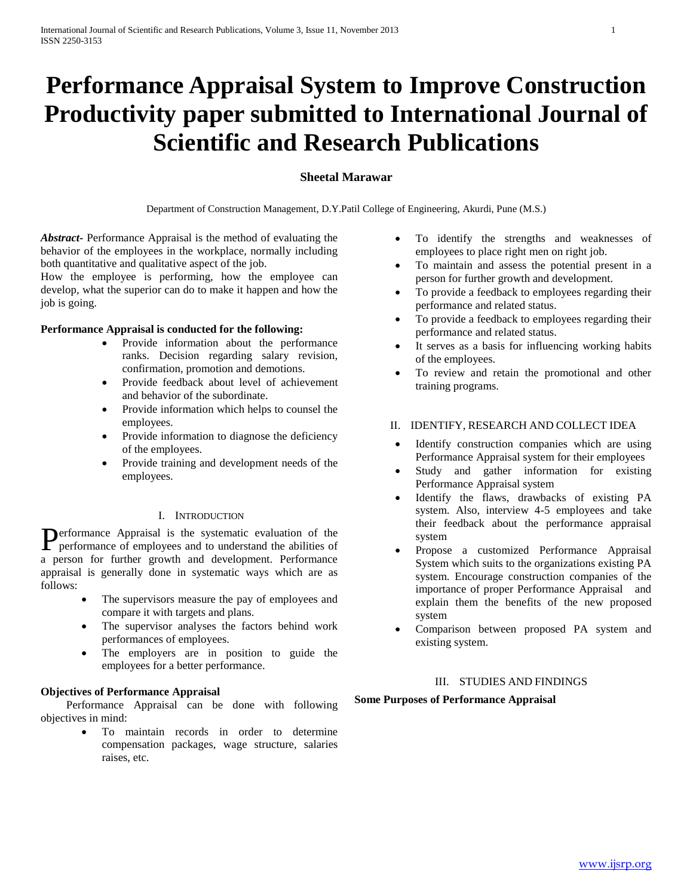# **Performance Appraisal System to Improve Construction Productivity paper submitted to International Journal of Scientific and Research Publications**

# **Sheetal Marawar**

Department of Construction Management, D.Y.Patil College of Engineering, Akurdi, Pune (M.S.)

*Abstract***-** Performance Appraisal is the method of evaluating the behavior of the employees in the workplace, normally including both quantitative and qualitative aspect of the job.

How the employee is performing, how the employee can develop, what the superior can do to make it happen and how the job is going.

#### **Performance Appraisal is conducted for the following:**

- Provide information about the performance ranks. Decision regarding salary revision, confirmation, promotion and demotions.
- Provide feedback about level of achievement and behavior of the subordinate.
- Provide information which helps to counsel the employees.
- Provide information to diagnose the deficiency of the employees.
- Provide training and development needs of the employees.

### I. INTRODUCTION

Performance Appraisal is the systematic evaluation of the performance of employees and to understand the abilities of performance of employees and to understand the abilities of a person for further growth and development. Performance appraisal is generally done in systematic ways which are as follows:

- The supervisors measure the pay of employees and compare it with targets and plans.
- The supervisor analyses the factors behind work performances of employees.
- The employers are in position to guide the employees for a better performance.

#### **Objectives of Performance Appraisal**

 Performance Appraisal can be done with following objectives in mind:

> To maintain records in order to determine compensation packages, wage structure, salaries raises, etc.

- To identify the strengths and weaknesses of employees to place right men on right job.
- To maintain and assess the potential present in a person for further growth and development.
- To provide a feedback to employees regarding their performance and related status.
- To provide a feedback to employees regarding their performance and related status.
- It serves as a basis for influencing working habits of the employees.
- To review and retain the promotional and other training programs.

# II. IDENTIFY, RESEARCH AND COLLECT IDEA

- Identify construction companies which are using Performance Appraisal system for their employees
- Study and gather information for existing Performance Appraisal system
- Identify the flaws, drawbacks of existing PA system. Also, interview 4-5 employees and take their feedback about the performance appraisal system
- Propose a customized Performance Appraisal System which suits to the organizations existing PA system. Encourage construction companies of the importance of proper Performance Appraisal and explain them the benefits of the new proposed system
- Comparison between proposed PA system and existing system.

# III. STUDIES AND FINDINGS

# **Some Purposes of Performance Appraisal**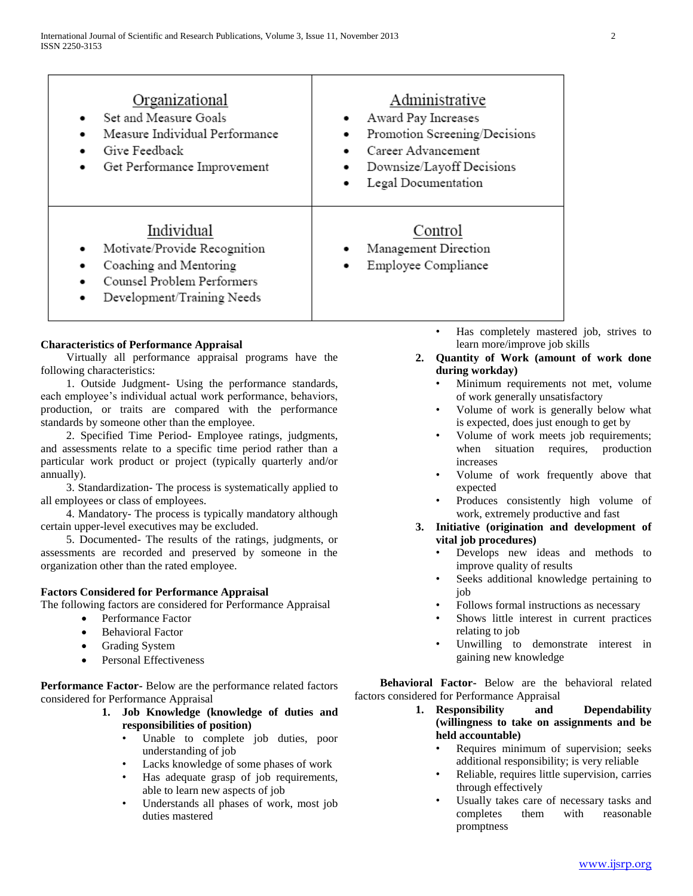| Organizational<br>Set and Measure Goals<br>Measure Individual Performance<br>Give Feedback<br>Get Performance Improvement<br>٠                  | Administrative<br>Award Pay Increases<br>Promotion Screening/Decisions<br>Career Advancement<br>Downsize/Layoff Decisions<br>Legal Documentation |  |  |
|-------------------------------------------------------------------------------------------------------------------------------------------------|--------------------------------------------------------------------------------------------------------------------------------------------------|--|--|
| Individual<br>Motivate/Provide Recognition<br>٠<br>Coaching and Mentoring<br>٠<br>Counsel Problem Performers<br>Development/Training Needs<br>٠ | Control<br>Management Direction<br>Employee Compliance                                                                                           |  |  |

# **Characteristics of Performance Appraisal**

 Virtually all performance appraisal programs have the following characteristics:

 1. Outside Judgment- Using the performance standards, each employee's individual actual work performance, behaviors, production, or traits are compared with the performance standards by someone other than the employee.

 2. Specified Time Period- Employee ratings, judgments, and assessments relate to a specific time period rather than a particular work product or project (typically quarterly and/or annually).

 3. Standardization- The process is systematically applied to all employees or class of employees.

 4. Mandatory- The process is typically mandatory although certain upper-level executives may be excluded.

 5. Documented- The results of the ratings, judgments, or assessments are recorded and preserved by someone in the organization other than the rated employee.

# **Factors Considered for Performance Appraisal**

The following factors are considered for Performance Appraisal

- Performance Factor
- Behavioral Factor
- Grading System
- Personal Effectiveness

**Performance Factor-** Below are the performance related factors considered for Performance Appraisal

- **1. Job Knowledge (knowledge of duties and responsibilities of position)**
	- Unable to complete job duties, poor understanding of job
	- Lacks knowledge of some phases of work
	- Has adequate grasp of job requirements, able to learn new aspects of job
	- Understands all phases of work, most job duties mastered
- Has completely mastered job, strives to learn more/improve job skills
- **2. Quantity of Work (amount of work done during workday)**
	- Minimum requirements not met, volume of work generally unsatisfactory
	- Volume of work is generally below what is expected, does just enough to get by
	- Volume of work meets job requirements; when situation requires, production increases
	- Volume of work frequently above that expected
	- Produces consistently high volume of work, extremely productive and fast
- **3. Initiative (origination and development of vital job procedures)**
	- Develops new ideas and methods to improve quality of results
	- Seeks additional knowledge pertaining to job
	- Follows formal instructions as necessary
	- Shows little interest in current practices relating to job
	- Unwilling to demonstrate interest in gaining new knowledge

 **Behavioral Factor-** Below are the behavioral related factors considered for Performance Appraisal

- **1. Responsibility and Dependability (willingness to take on assignments and be held accountable)**
	- Requires minimum of supervision; seeks additional responsibility; is very reliable
	- Reliable, requires little supervision, carries through effectively
	- Usually takes care of necessary tasks and completes them with reasonable promptness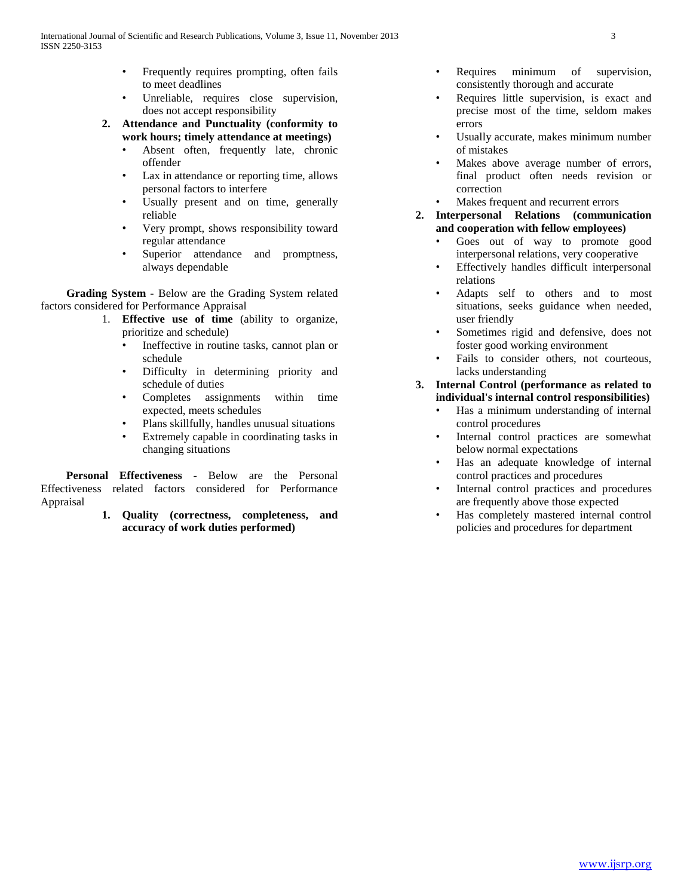- Frequently requires prompting, often fails to meet deadlines
- Unreliable, requires close supervision, does not accept responsibility
- **2. Attendance and Punctuality (conformity to work hours; timely attendance at meetings)**
	- Absent often, frequently late, chronic offender
	- Lax in attendance or reporting time, allows personal factors to interfere
	- Usually present and on time, generally reliable
	- Very prompt, shows responsibility toward regular attendance
	- Superior attendance and promptness, always dependable

 **Grading System -** Below are the Grading System related factors considered for Performance Appraisal

- 1. **Effective use of time** (ability to organize, prioritize and schedule)
	- Ineffective in routine tasks, cannot plan or schedule
	- Difficulty in determining priority and schedule of duties
	- Completes assignments within time expected, meets schedules
	- Plans skillfully, handles unusual situations
	- Extremely capable in coordinating tasks in changing situations

 **Personal Effectiveness** - Below are the Personal Effectiveness related factors considered for Performance Appraisal

> **1. Quality (correctness, completeness, and accuracy of work duties performed)**

- Requires minimum of supervision, consistently thorough and accurate
- Requires little supervision, is exact and precise most of the time, seldom makes errors
- Usually accurate, makes minimum number of mistakes
- Makes above average number of errors, final product often needs revision or correction
- Makes frequent and recurrent errors

#### **2. Interpersonal Relations (communication and cooperation with fellow employees)**

- Goes out of way to promote good interpersonal relations, very cooperative
- Effectively handles difficult interpersonal relations
- Adapts self to others and to most situations, seeks guidance when needed, user friendly
- Sometimes rigid and defensive, does not foster good working environment
- Fails to consider others, not courteous, lacks understanding

# **3. Internal Control (performance as related to individual's internal control responsibilities)**

- Has a minimum understanding of internal control procedures
- Internal control practices are somewhat below normal expectations
- Has an adequate knowledge of internal control practices and procedures
- Internal control practices and procedures are frequently above those expected
- Has completely mastered internal control policies and procedures for department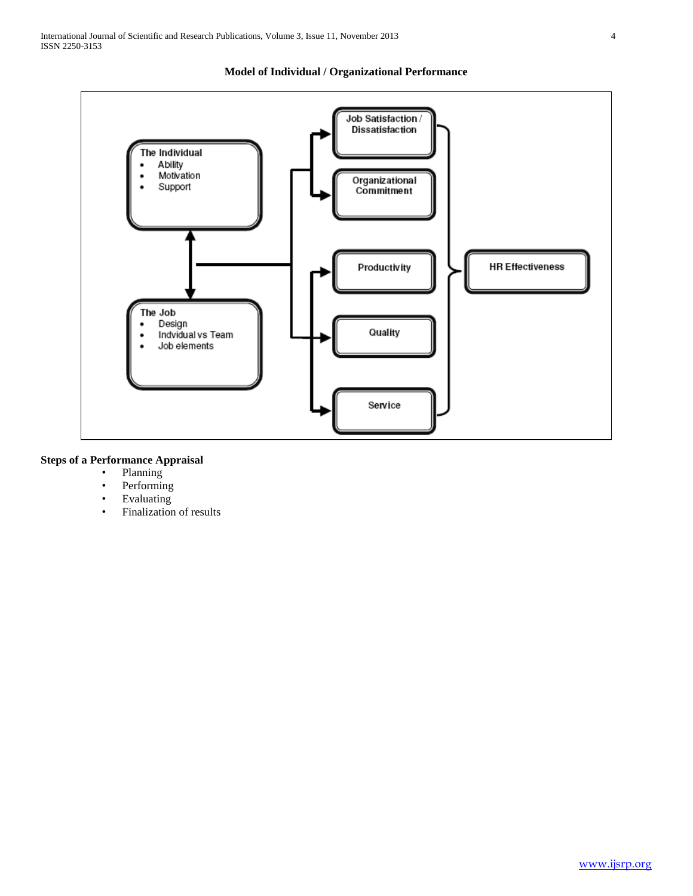

# **Model of Individual / Organizational Performance**

# **Steps of a Performance Appraisal**

- Planning
- Performing
- Evaluating
- Finalization of results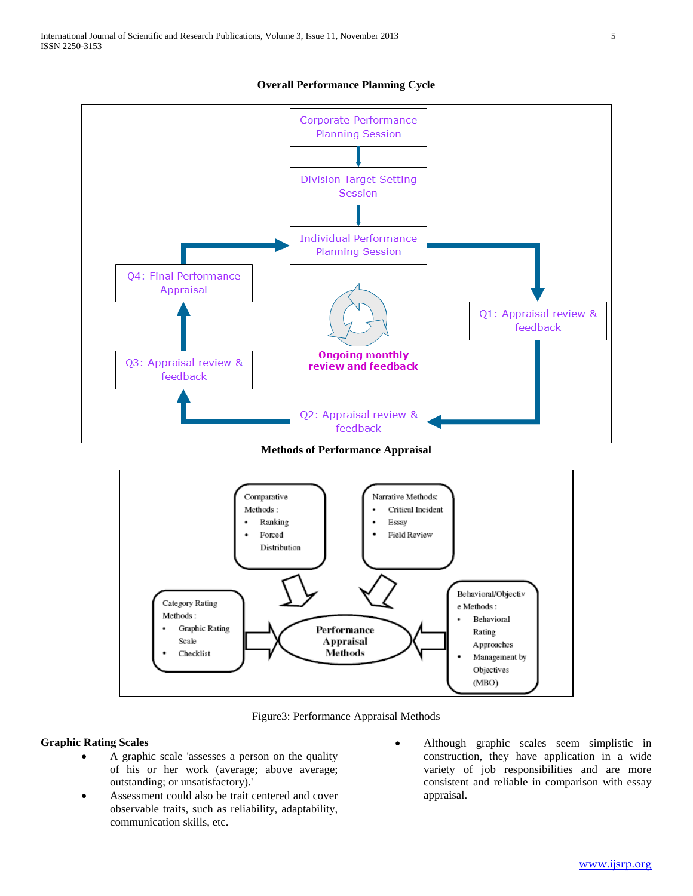

**Overall Performance Planning Cycle**

**Methods of Performance Appraisal**



Figure3: Performance Appraisal Methods

#### **Graphic Rating Scales**

- A graphic scale 'assesses a person on the quality of his or her work (average; above average; outstanding; or unsatisfactory).'
- Assessment could also be trait centered and cover observable traits, such as reliability, adaptability, communication skills, etc.
- Although graphic scales seem simplistic in construction, they have application in a wide variety of job responsibilities and are more consistent and reliable in comparison with essay appraisal.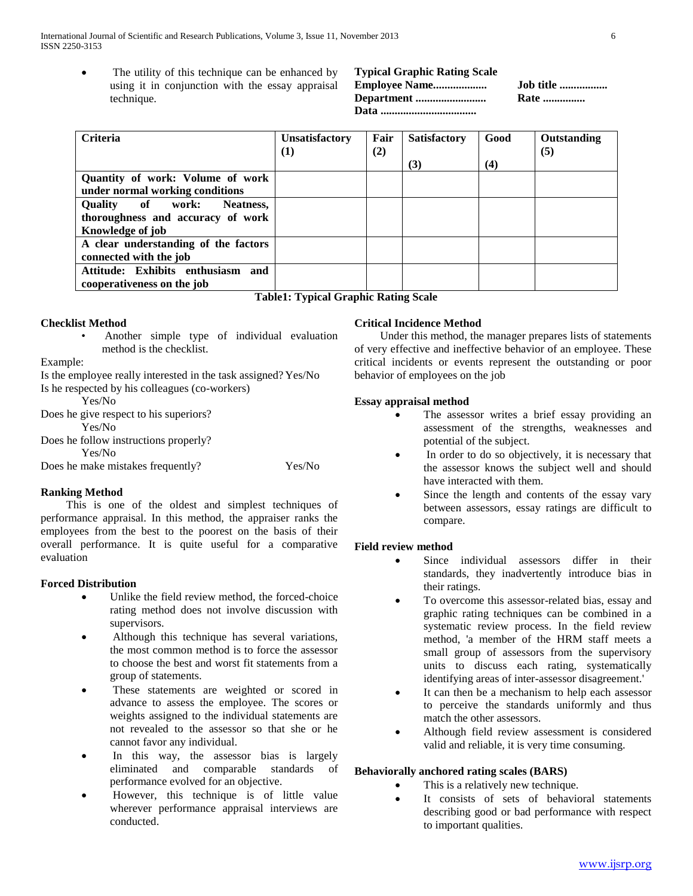The utility of this technique can be enhanced by using it in conjunction with the essay appraisal technique.

| <b>Typical Graphic Rating Scale</b> |              |
|-------------------------------------|--------------|
| <b>Employee Name</b>                | Job title    |
|                                     | <b>Rate </b> |
|                                     |              |

| <b>Criteria</b>                      | Unsatisfactory | Fair | <b>Satisfactory</b> | Good | Outstanding |
|--------------------------------------|----------------|------|---------------------|------|-------------|
|                                      | $\bf(1)$       | (2)  |                     |      | (5)         |
|                                      |                |      | (3)                 | (4)  |             |
| Quantity of work: Volume of work     |                |      |                     |      |             |
| under normal working conditions      |                |      |                     |      |             |
| Quality of work:<br>Neatness,        |                |      |                     |      |             |
| thoroughness and accuracy of work    |                |      |                     |      |             |
| Knowledge of job                     |                |      |                     |      |             |
| A clear understanding of the factors |                |      |                     |      |             |
| connected with the job               |                |      |                     |      |             |
| Attitude: Exhibits enthusiasm<br>and |                |      |                     |      |             |
| cooperativeness on the job           |                |      |                     |      |             |

### **Table1: Typical Graphic Rating Scale**

#### **Checklist Method**

• Another simple type of individual evaluation method is the checklist.

Example:

Is the employee really interested in the task assigned? Yes/No Is he respected by his colleagues (co-workers)

Yes/No

Does he give respect to his superiors? Yes/No

Does he follow instructions properly? Yes/No

Does he make mistakes frequently? Yes/No

#### **Ranking Method**

 This is one of the oldest and simplest techniques of performance appraisal. In this method, the appraiser ranks the employees from the best to the poorest on the basis of their overall performance. It is quite useful for a comparative evaluation

#### **Forced Distribution**

- Unlike the field review method, the forced-choice rating method does not involve discussion with supervisors.
- Although this technique has several variations, the most common method is to force the assessor to choose the best and worst fit statements from a group of statements.
- These statements are weighted or scored in advance to assess the employee. The scores or weights assigned to the individual statements are not revealed to the assessor so that she or he cannot favor any individual.
- In this way, the assessor bias is largely eliminated and comparable standards of performance evolved for an objective.
- However, this technique is of little value wherever performance appraisal interviews are conducted.

## **Critical Incidence Method**

 Under this method, the manager prepares lists of statements of very effective and ineffective behavior of an employee. These critical incidents or events represent the outstanding or poor behavior of employees on the job

#### **Essay appraisal method**

- The assessor writes a brief essay providing an assessment of the strengths, weaknesses and potential of the subject.
- In order to do so objectively, it is necessary that the assessor knows the subject well and should have interacted with them.
- Since the length and contents of the essay vary between assessors, essay ratings are difficult to compare.

## **Field review method**

- Since individual assessors differ in their standards, they inadvertently introduce bias in their ratings.
- To overcome this assessor-related bias, essay and graphic rating techniques can be combined in a systematic review process. In the field review method, 'a member of the HRM staff meets a small group of assessors from the supervisory units to discuss each rating, systematically identifying areas of inter-assessor disagreement.'
- It can then be a mechanism to help each assessor to perceive the standards uniformly and thus match the other assessors.
- Although field review assessment is considered valid and reliable, it is very time consuming.

## **Behaviorally anchored rating scales (BARS)**

- This is a relatively new technique.
	- It consists of sets of behavioral statements describing good or bad performance with respect to important qualities.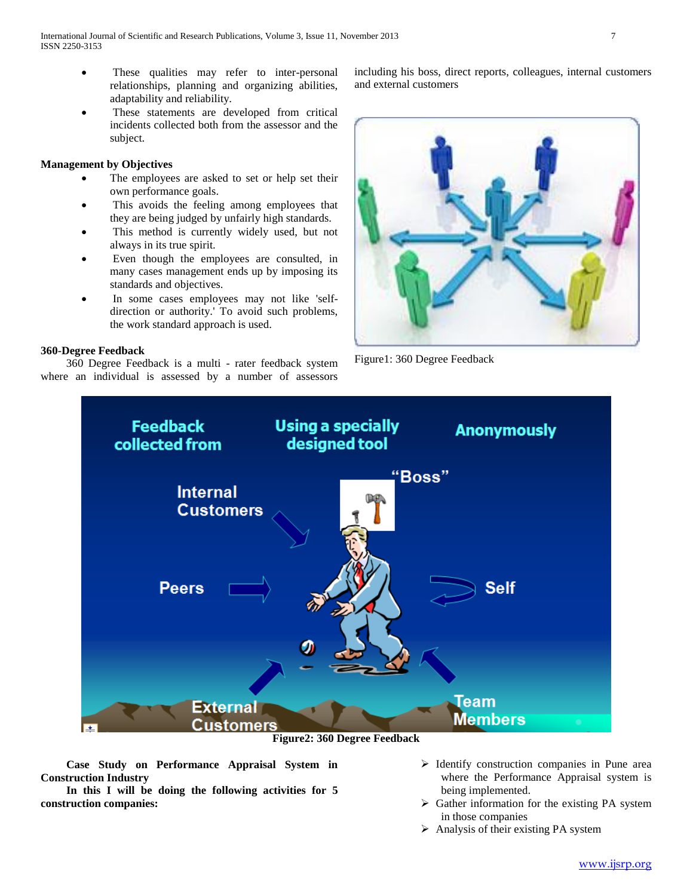- These qualities may refer to inter-personal relationships, planning and organizing abilities, adaptability and reliability.
- These statements are developed from critical incidents collected both from the assessor and the subject.

#### **Management by Objectives**

- The employees are asked to set or help set their own performance goals.
- This avoids the feeling among employees that they are being judged by unfairly high standards.
- This method is currently widely used, but not always in its true spirit.
- Even though the employees are consulted, in many cases management ends up by imposing its standards and objectives.
- In some cases employees may not like 'selfdirection or authority.' To avoid such problems, the work standard approach is used.

#### **360-Degree Feedback**

 360 Degree Feedback is a multi - rater feedback system where an individual is assessed by a number of assessors

including his boss, direct reports, colleagues, internal customers and external customers



Figure1: 360 Degree Feedback



**Figure2: 360 Degree Feedback**

 **Case Study on Performance Appraisal System in Construction Industry**

 **In this I will be doing the following activities for 5 construction companies:**

- $\triangleright$  Identify construction companies in Pune area where the Performance Appraisal system is being implemented.
- $\triangleright$  Gather information for the existing PA system in those companies
- $\triangleright$  Analysis of their existing PA system